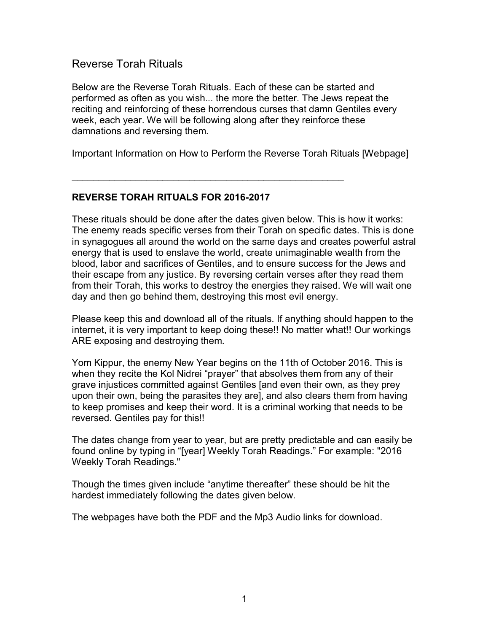## Reverse Torah Rituals

Below are the Reverse Torah Rituals. Each of these can be started and performed as often as you wish... the more the better. The Jews repeat the reciting and reinforcing of these horrendous curses that damn Gentiles every week, each year. We will be following along after they reinforce these damnations and reversing them.

Important Information on How to Perform the Reverse Torah Rituals [Webpage]

 $\mathcal{L}_\text{max} = \mathcal{L}_\text{max} = \mathcal{L}_\text{max} = \mathcal{L}_\text{max} = \mathcal{L}_\text{max} = \mathcal{L}_\text{max} = \mathcal{L}_\text{max} = \mathcal{L}_\text{max} = \mathcal{L}_\text{max} = \mathcal{L}_\text{max} = \mathcal{L}_\text{max} = \mathcal{L}_\text{max} = \mathcal{L}_\text{max} = \mathcal{L}_\text{max} = \mathcal{L}_\text{max} = \mathcal{L}_\text{max} = \mathcal{L}_\text{max} = \mathcal{L}_\text{max} = \mathcal{$ 

#### **REVERSE TORAH RITUALS FOR 2016-2017**

These rituals should be done after the dates given below. This is how it works: The enemy reads specific verses from their Torah on specific dates. This is done in synagogues all around the world on the same days and creates powerful astral energy that is used to enslave the world, create unimaginable wealth from the blood, labor and sacrifices of Gentiles, and to ensure success for the Jews and their escape from any justice. By reversing certain verses after they read them from their Torah, this works to destroy the energies they raised. We will wait one day and then go behind them, destroying this most evil energy.

Please keep this and download all of the rituals. If anything should happen to the internet, it is very important to keep doing these!! No matter what!! Our workings ARE exposing and destroying them.

Yom Kippur, the enemy New Year begins on the 11th of October 2016. This is when they recite the Kol Nidrei "prayer" that absolves them from any of their grave injustices committed against Gentiles [and even their own, as they prey upon their own, being the parasites they are], and also clears them from having to keep promises and keep their word. It is a criminal working that needs to be reversed. Gentiles pay for this!!

The dates change from year to year, but are pretty predictable and can easily be found online by typing in "[year] Weekly Torah Readings." For example: "2016 Weekly Torah Readings."

Though the times given include "anytime thereafter" these should be hit the hardest immediately following the dates given below.

The webpages have both the PDF and the Mp3 Audio links for download.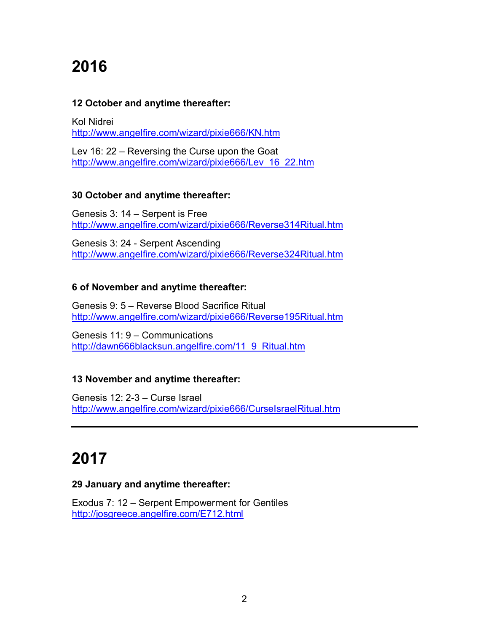# **2016**

#### **12 October and anytime thereafter:**

Kol Nidrei <http://www.angelfire.com/wizard/pixie666/KN.htm>

Lev 16: 22 – Reversing the Curse upon the Goat [http://www.angelfire.com/wizard/pixie666/Lev\\_16\\_22.htm](http://www.angelfire.com/wizard/pixie666/Lev_16_22.htm)

#### **30 October and anytime thereafter:**

Genesis 3: 14 – Serpent is Free <http://www.angelfire.com/wizard/pixie666/Reverse314Ritual.htm>

Genesis 3: 24 - Serpent Ascending <http://www.angelfire.com/wizard/pixie666/Reverse324Ritual.htm>

## **6 of November and anytime thereafter:**

Genesis 9: 5 – Reverse Blood Sacrifice Ritual <http://www.angelfire.com/wizard/pixie666/Reverse195Ritual.htm>

Genesis 11: 9 – Communications [http://dawn666blacksun.angelfire.com/11\\_9\\_Ritual.htm](http://dawn666blacksun.angelfire.com/11_9_Ritual.htm)

## **13 November and anytime thereafter:**

Genesis 12: 2-3 – Curse Israel <http://www.angelfire.com/wizard/pixie666/CurseIsraelRitual.htm>

## **2017**

#### **29 January and anytime thereafter:**

Exodus 7: 12 – Serpent Empowerment for Gentiles <http://josgreece.angelfire.com/E712.html>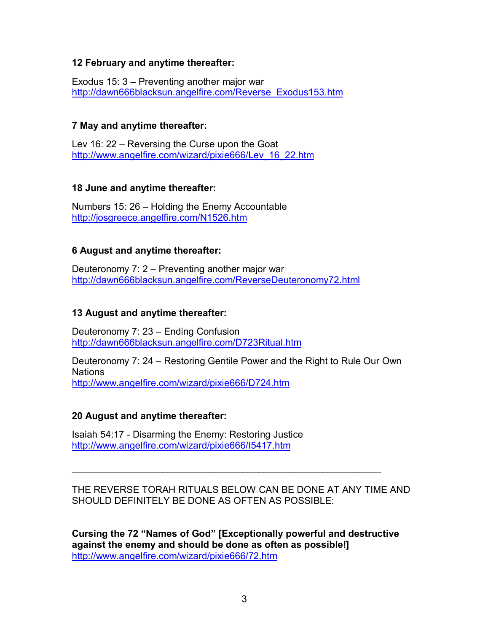#### **12 February and anytime thereafter:**

Exodus 15: 3 – Preventing another major war [http://dawn666blacksun.angelfire.com/Reverse\\_Exodus153.htm](http://dawn666blacksun.angelfire.com/Reverse_Exodus153.htm)

#### **7 May and anytime thereafter:**

Lev 16: 22 – Reversing the Curse upon the Goat [http://www.angelfire.com/wizard/pixie666/Lev\\_16\\_22.htm](http://www.angelfire.com/wizard/pixie666/Lev_16_22.htm)

#### **18 June and anytime thereafter:**

Numbers 15: 26 – Holding the Enemy Accountable <http://josgreece.angelfire.com/N1526.htm>

#### **6 August and anytime thereafter:**

Deuteronomy 7: 2 – Preventing another major war <http://dawn666blacksun.angelfire.com/ReverseDeuteronomy72.html>

### **13 August and anytime thereafter:**

Deuteronomy 7: 23 – Ending Confusion <http://dawn666blacksun.angelfire.com/D723Ritual.htm>

Deuteronomy 7: 24 – Restoring Gentile Power and the Right to Rule Our Own Nations <http://www.angelfire.com/wizard/pixie666/D724.htm>

#### **20 August and anytime thereafter:**

Isaiah 54:17 - Disarming the Enemy: Restoring Justice <http://www.angelfire.com/wizard/pixie666/I5417.htm>

THE REVERSE TORAH RITUALS BELOW CAN BE DONE AT ANY TIME AND SHOULD DEFINITELY BE DONE AS OFTEN AS POSSIBLE:

\_\_\_\_\_\_\_\_\_\_\_\_\_\_\_\_\_\_\_\_\_\_\_\_\_\_\_\_\_\_\_\_\_\_\_\_\_\_\_\_\_\_\_\_\_\_\_\_\_\_\_\_\_\_\_\_\_\_

**Cursing the 72 "Names of God" [Exceptionally powerful and destructive against the enemy and should be done as often as possible!]**  <http://www.angelfire.com/wizard/pixie666/72.htm>